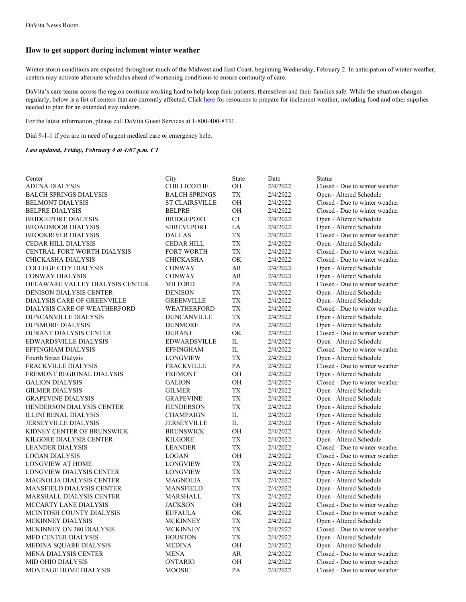## **How to get support during inclement winter weather**

Winter storm conditions are expected throughout much of the Midwest and East Coast, beginning Wednesday, February 2. In anticipation of winter weather, centers may activate alternate schedules ahead of worsening conditions to ensure continuity of care.

DaVita's care teams across the region continue working hard to help keep their patients, themselves and their families safe. While the situation changes regularly, below is a list of centers that are currently affected. Click [here](https://www.davita.com/treatment-services/emergency) for resources to prepare for inclement weather, including food and other supplies needed to plan for an extended stay indoors.

For the latest information, please call DaVita Guest Services at 1-800-400-8331.

Dial 9-1-1 if you are in need of urgent medical care or emergency help.

## *Last updated, Friday, February 4 at 4:07 p.m. CT*

| CHILLICOTHE<br>OH<br>2/4/2022<br>Closed - Due to winter weather<br>TX<br>2/4/2022<br><b>BALCH SPRINGS DIALYSIS</b><br><b>BALCH SPRINGS</b><br>Open - Altered Schedule<br>OH<br><b>BELMONT DIALYSIS</b><br><b>ST CLAIRSVILLE</b><br>2/4/2022<br>Closed - Due to winter weather<br>OH<br>Closed - Due to winter weather<br><b>BELPRE DIALYSIS</b><br><b>BELPRE</b><br>2/4/2022<br>CT<br><b>BRIDGEPORT</b><br>2/4/2022<br>Open - Altered Schedule<br><b>SHREVEPORT</b><br>LA<br>2/4/2022<br>Open - Altered Schedule<br>TX<br><b>DALLAS</b><br>2/4/2022<br>Closed - Due to winter weather<br>TX<br>2/4/2022<br>Open - Altered Schedule<br>CEDAR HILL DIALYSIS<br>CEDAR HILL<br>TX<br>Closed - Due to winter weather<br>FORT WORTH<br>2/4/2022<br>OK.<br>CHICKASHA DIALYSIS<br><b>CHICKASHA</b><br>2/4/2022<br>Closed - Due to winter weather<br>AR<br><b>CONWAY</b><br>2/4/2022<br>Open - Altered Schedule<br>AR<br><b>CONWAY DIALYSIS</b><br><b>CONWAY</b><br>2/4/2022<br>Open - Altered Schedule<br>PA<br>Closed - Due to winter weather<br>2/4/2022<br>MILFORD<br>TX<br><b>DENISON DIALYSIS CENTER</b><br>2/4/2022<br>Open - Altered Schedule<br><b>DENISON</b><br>TX<br>Open - Altered Schedule<br>GREENVILLE<br>2/4/2022<br>Closed - Due to winter weather<br>DIALYSIS CARE OF WEATHERFORD<br>WEATHERFORD<br>TX<br>2/4/2022<br><b>TX</b><br><b>DUNCANVILLE DIALYSIS</b><br><b>DUNCANVILLE</b><br>2/4/2022<br>Open - Altered Schedule<br>PA<br><b>DUNMORE</b><br>2/4/2022<br>Open - Altered Schedule<br>OK<br><b>DURANT</b><br>2/4/2022<br>Closed - Due to winter weather<br>$_{\rm IL}$<br>EDWARDSVILLE DIALYSIS<br><b>EDWARDSVILLE</b><br>2/4/2022<br>Open - Altered Schedule<br>$\rm IL$<br>EFFINGHAM DIALYSIS<br><b>EFFINGHAM</b><br>2/4/2022<br>Closed - Due to winter weather<br><b>TX</b><br>LONGVIEW<br>2/4/2022<br>Open - Altered Schedule<br>PA<br>Closed - Due to winter weather<br><b>FRACKVILLE</b><br>2/4/2022<br>OH<br><b>FREMONT</b><br>2/4/2022<br>Open - Altered Schedule<br><b>GALION</b><br>OН<br>2/4/2022<br>Closed - Due to winter weather<br><b>GILMER DIALYSIS</b><br><b>GILMER</b><br>TX<br>2/4/2022<br>Open - Altered Schedule<br>TX<br><b>GRAPEVINE DIALYSIS</b><br>GRAPEVINE<br>2/4/2022<br>Open - Altered Schedule<br><b>TX</b><br>HENDERSON DIALYSIS CENTER<br><b>HENDERSON</b><br>2/4/2022<br>Open - Altered Schedule<br>IL<br><b>CHAMPAIGN</b><br>2/4/2022<br>Open - Altered Schedule<br>$_{\rm IL}$<br>2/4/2022<br>JERSEYVILLE<br>Open - Altered Schedule<br><b>BRUNSWICK</b><br>OН<br>2/4/2022<br>Open - Altered Schedule<br>TX<br>2/4/2022<br>Open - Altered Schedule<br>KILGORE<br>TX<br>Closed - Due to winter weather<br>LEANDER DIALYSIS<br><b>LEANDER</b><br>2/4/2022<br>OH<br><b>LOGAN</b><br>2/4/2022<br>Closed - Due to winter weather<br>TX<br>2/4/2022<br>Open - Altered Schedule<br>LONGVIEW<br>LONGVIEW DIALYSIS CENTER<br><b>LONGVIEW</b><br>TX<br>2/4/2022<br>Open - Altered Schedule<br>TX<br>2/4/2022<br>Open - Altered Schedule<br>MAGNOLIA<br>${\rm TX}$<br><b>MANSFIELD</b><br>2/4/2022<br>Open - Altered Schedule<br>TX<br>Open - Altered Schedule<br>MARSHALL<br>2/4/2022<br>OH<br><b>JACKSON</b><br>2/4/2022<br>Closed - Due to winter weather<br>OK<br>2/4/2022<br><b>EUFAULA</b><br>Closed - Due to winter weather<br>Open - Altered Schedule<br><b>MCKINNEY</b><br>TX<br>2/4/2022<br>TX<br>Closed - Due to winter weather<br><b>MCKINNEY</b><br>2/4/2022<br>${\rm T}{\rm X}$<br>2/4/2022<br>Open - Altered Schedule<br><b>HOUSTON</b><br>OH<br>Open - Altered Schedule<br><b>MEDINA</b><br>2/4/2022<br>Closed - Due to winter weather<br><b>MENA</b><br>AR<br>2/4/2022<br>Closed - Due to winter weather<br><b>ONTARIO</b><br>OH<br>2/4/2022<br>MOOSIC<br>PA<br>2/4/2022 | Center                          | City | State | Date | <b>Status</b>                  |
|--------------------------------------------------------------------------------------------------------------------------------------------------------------------------------------------------------------------------------------------------------------------------------------------------------------------------------------------------------------------------------------------------------------------------------------------------------------------------------------------------------------------------------------------------------------------------------------------------------------------------------------------------------------------------------------------------------------------------------------------------------------------------------------------------------------------------------------------------------------------------------------------------------------------------------------------------------------------------------------------------------------------------------------------------------------------------------------------------------------------------------------------------------------------------------------------------------------------------------------------------------------------------------------------------------------------------------------------------------------------------------------------------------------------------------------------------------------------------------------------------------------------------------------------------------------------------------------------------------------------------------------------------------------------------------------------------------------------------------------------------------------------------------------------------------------------------------------------------------------------------------------------------------------------------------------------------------------------------------------------------------------------------------------------------------------------------------------------------------------------------------------------------------------------------------------------------------------------------------------------------------------------------------------------------------------------------------------------------------------------------------------------------------------------------------------------------------------------------------------------------------------------------------------------------------------------------------------------------------------------------------------------------------------------------------------------------------------------------------------------------------------------------------------------------------------------------------------------------------------------------------------------------------------------------------------------------------------------------------------------------------------------------------------------------------------------------------------------------------------------------------------------------------------------------------------------------------------------------------------------------------------------------------------------------------------------------------------------------------------------------------------------------------------------------------------------------------------------------------------------------------------------------------------------------------------------------------------------------------------------------------------------------------------------------------------------------------------------------------------|---------------------------------|------|-------|------|--------------------------------|
|                                                                                                                                                                                                                                                                                                                                                                                                                                                                                                                                                                                                                                                                                                                                                                                                                                                                                                                                                                                                                                                                                                                                                                                                                                                                                                                                                                                                                                                                                                                                                                                                                                                                                                                                                                                                                                                                                                                                                                                                                                                                                                                                                                                                                                                                                                                                                                                                                                                                                                                                                                                                                                                                                                                                                                                                                                                                                                                                                                                                                                                                                                                                                                                                                                                                                                                                                                                                                                                                                                                                                                                                                                                                                                                                      | <b>ADENA DIALYSIS</b>           |      |       |      |                                |
|                                                                                                                                                                                                                                                                                                                                                                                                                                                                                                                                                                                                                                                                                                                                                                                                                                                                                                                                                                                                                                                                                                                                                                                                                                                                                                                                                                                                                                                                                                                                                                                                                                                                                                                                                                                                                                                                                                                                                                                                                                                                                                                                                                                                                                                                                                                                                                                                                                                                                                                                                                                                                                                                                                                                                                                                                                                                                                                                                                                                                                                                                                                                                                                                                                                                                                                                                                                                                                                                                                                                                                                                                                                                                                                                      |                                 |      |       |      |                                |
|                                                                                                                                                                                                                                                                                                                                                                                                                                                                                                                                                                                                                                                                                                                                                                                                                                                                                                                                                                                                                                                                                                                                                                                                                                                                                                                                                                                                                                                                                                                                                                                                                                                                                                                                                                                                                                                                                                                                                                                                                                                                                                                                                                                                                                                                                                                                                                                                                                                                                                                                                                                                                                                                                                                                                                                                                                                                                                                                                                                                                                                                                                                                                                                                                                                                                                                                                                                                                                                                                                                                                                                                                                                                                                                                      |                                 |      |       |      |                                |
|                                                                                                                                                                                                                                                                                                                                                                                                                                                                                                                                                                                                                                                                                                                                                                                                                                                                                                                                                                                                                                                                                                                                                                                                                                                                                                                                                                                                                                                                                                                                                                                                                                                                                                                                                                                                                                                                                                                                                                                                                                                                                                                                                                                                                                                                                                                                                                                                                                                                                                                                                                                                                                                                                                                                                                                                                                                                                                                                                                                                                                                                                                                                                                                                                                                                                                                                                                                                                                                                                                                                                                                                                                                                                                                                      |                                 |      |       |      |                                |
|                                                                                                                                                                                                                                                                                                                                                                                                                                                                                                                                                                                                                                                                                                                                                                                                                                                                                                                                                                                                                                                                                                                                                                                                                                                                                                                                                                                                                                                                                                                                                                                                                                                                                                                                                                                                                                                                                                                                                                                                                                                                                                                                                                                                                                                                                                                                                                                                                                                                                                                                                                                                                                                                                                                                                                                                                                                                                                                                                                                                                                                                                                                                                                                                                                                                                                                                                                                                                                                                                                                                                                                                                                                                                                                                      | <b>BRIDGEPORT DIALYSIS</b>      |      |       |      |                                |
|                                                                                                                                                                                                                                                                                                                                                                                                                                                                                                                                                                                                                                                                                                                                                                                                                                                                                                                                                                                                                                                                                                                                                                                                                                                                                                                                                                                                                                                                                                                                                                                                                                                                                                                                                                                                                                                                                                                                                                                                                                                                                                                                                                                                                                                                                                                                                                                                                                                                                                                                                                                                                                                                                                                                                                                                                                                                                                                                                                                                                                                                                                                                                                                                                                                                                                                                                                                                                                                                                                                                                                                                                                                                                                                                      | <b>BROADMOOR DIALYSIS</b>       |      |       |      |                                |
|                                                                                                                                                                                                                                                                                                                                                                                                                                                                                                                                                                                                                                                                                                                                                                                                                                                                                                                                                                                                                                                                                                                                                                                                                                                                                                                                                                                                                                                                                                                                                                                                                                                                                                                                                                                                                                                                                                                                                                                                                                                                                                                                                                                                                                                                                                                                                                                                                                                                                                                                                                                                                                                                                                                                                                                                                                                                                                                                                                                                                                                                                                                                                                                                                                                                                                                                                                                                                                                                                                                                                                                                                                                                                                                                      | <b>BROOKRIVER DIALYSIS</b>      |      |       |      |                                |
|                                                                                                                                                                                                                                                                                                                                                                                                                                                                                                                                                                                                                                                                                                                                                                                                                                                                                                                                                                                                                                                                                                                                                                                                                                                                                                                                                                                                                                                                                                                                                                                                                                                                                                                                                                                                                                                                                                                                                                                                                                                                                                                                                                                                                                                                                                                                                                                                                                                                                                                                                                                                                                                                                                                                                                                                                                                                                                                                                                                                                                                                                                                                                                                                                                                                                                                                                                                                                                                                                                                                                                                                                                                                                                                                      |                                 |      |       |      |                                |
|                                                                                                                                                                                                                                                                                                                                                                                                                                                                                                                                                                                                                                                                                                                                                                                                                                                                                                                                                                                                                                                                                                                                                                                                                                                                                                                                                                                                                                                                                                                                                                                                                                                                                                                                                                                                                                                                                                                                                                                                                                                                                                                                                                                                                                                                                                                                                                                                                                                                                                                                                                                                                                                                                                                                                                                                                                                                                                                                                                                                                                                                                                                                                                                                                                                                                                                                                                                                                                                                                                                                                                                                                                                                                                                                      | CENTRAL FORT WORTH DIALYSIS     |      |       |      |                                |
|                                                                                                                                                                                                                                                                                                                                                                                                                                                                                                                                                                                                                                                                                                                                                                                                                                                                                                                                                                                                                                                                                                                                                                                                                                                                                                                                                                                                                                                                                                                                                                                                                                                                                                                                                                                                                                                                                                                                                                                                                                                                                                                                                                                                                                                                                                                                                                                                                                                                                                                                                                                                                                                                                                                                                                                                                                                                                                                                                                                                                                                                                                                                                                                                                                                                                                                                                                                                                                                                                                                                                                                                                                                                                                                                      |                                 |      |       |      |                                |
|                                                                                                                                                                                                                                                                                                                                                                                                                                                                                                                                                                                                                                                                                                                                                                                                                                                                                                                                                                                                                                                                                                                                                                                                                                                                                                                                                                                                                                                                                                                                                                                                                                                                                                                                                                                                                                                                                                                                                                                                                                                                                                                                                                                                                                                                                                                                                                                                                                                                                                                                                                                                                                                                                                                                                                                                                                                                                                                                                                                                                                                                                                                                                                                                                                                                                                                                                                                                                                                                                                                                                                                                                                                                                                                                      | <b>COLLEGE CITY DIALYSIS</b>    |      |       |      |                                |
|                                                                                                                                                                                                                                                                                                                                                                                                                                                                                                                                                                                                                                                                                                                                                                                                                                                                                                                                                                                                                                                                                                                                                                                                                                                                                                                                                                                                                                                                                                                                                                                                                                                                                                                                                                                                                                                                                                                                                                                                                                                                                                                                                                                                                                                                                                                                                                                                                                                                                                                                                                                                                                                                                                                                                                                                                                                                                                                                                                                                                                                                                                                                                                                                                                                                                                                                                                                                                                                                                                                                                                                                                                                                                                                                      |                                 |      |       |      |                                |
|                                                                                                                                                                                                                                                                                                                                                                                                                                                                                                                                                                                                                                                                                                                                                                                                                                                                                                                                                                                                                                                                                                                                                                                                                                                                                                                                                                                                                                                                                                                                                                                                                                                                                                                                                                                                                                                                                                                                                                                                                                                                                                                                                                                                                                                                                                                                                                                                                                                                                                                                                                                                                                                                                                                                                                                                                                                                                                                                                                                                                                                                                                                                                                                                                                                                                                                                                                                                                                                                                                                                                                                                                                                                                                                                      | DELAWARE VALLEY DIALYSIS CENTER |      |       |      |                                |
|                                                                                                                                                                                                                                                                                                                                                                                                                                                                                                                                                                                                                                                                                                                                                                                                                                                                                                                                                                                                                                                                                                                                                                                                                                                                                                                                                                                                                                                                                                                                                                                                                                                                                                                                                                                                                                                                                                                                                                                                                                                                                                                                                                                                                                                                                                                                                                                                                                                                                                                                                                                                                                                                                                                                                                                                                                                                                                                                                                                                                                                                                                                                                                                                                                                                                                                                                                                                                                                                                                                                                                                                                                                                                                                                      |                                 |      |       |      |                                |
|                                                                                                                                                                                                                                                                                                                                                                                                                                                                                                                                                                                                                                                                                                                                                                                                                                                                                                                                                                                                                                                                                                                                                                                                                                                                                                                                                                                                                                                                                                                                                                                                                                                                                                                                                                                                                                                                                                                                                                                                                                                                                                                                                                                                                                                                                                                                                                                                                                                                                                                                                                                                                                                                                                                                                                                                                                                                                                                                                                                                                                                                                                                                                                                                                                                                                                                                                                                                                                                                                                                                                                                                                                                                                                                                      | DIALYSIS CARE OF GREENVILLE     |      |       |      |                                |
|                                                                                                                                                                                                                                                                                                                                                                                                                                                                                                                                                                                                                                                                                                                                                                                                                                                                                                                                                                                                                                                                                                                                                                                                                                                                                                                                                                                                                                                                                                                                                                                                                                                                                                                                                                                                                                                                                                                                                                                                                                                                                                                                                                                                                                                                                                                                                                                                                                                                                                                                                                                                                                                                                                                                                                                                                                                                                                                                                                                                                                                                                                                                                                                                                                                                                                                                                                                                                                                                                                                                                                                                                                                                                                                                      |                                 |      |       |      |                                |
|                                                                                                                                                                                                                                                                                                                                                                                                                                                                                                                                                                                                                                                                                                                                                                                                                                                                                                                                                                                                                                                                                                                                                                                                                                                                                                                                                                                                                                                                                                                                                                                                                                                                                                                                                                                                                                                                                                                                                                                                                                                                                                                                                                                                                                                                                                                                                                                                                                                                                                                                                                                                                                                                                                                                                                                                                                                                                                                                                                                                                                                                                                                                                                                                                                                                                                                                                                                                                                                                                                                                                                                                                                                                                                                                      |                                 |      |       |      |                                |
|                                                                                                                                                                                                                                                                                                                                                                                                                                                                                                                                                                                                                                                                                                                                                                                                                                                                                                                                                                                                                                                                                                                                                                                                                                                                                                                                                                                                                                                                                                                                                                                                                                                                                                                                                                                                                                                                                                                                                                                                                                                                                                                                                                                                                                                                                                                                                                                                                                                                                                                                                                                                                                                                                                                                                                                                                                                                                                                                                                                                                                                                                                                                                                                                                                                                                                                                                                                                                                                                                                                                                                                                                                                                                                                                      | <b>DUNMORE DIALYSIS</b>         |      |       |      |                                |
|                                                                                                                                                                                                                                                                                                                                                                                                                                                                                                                                                                                                                                                                                                                                                                                                                                                                                                                                                                                                                                                                                                                                                                                                                                                                                                                                                                                                                                                                                                                                                                                                                                                                                                                                                                                                                                                                                                                                                                                                                                                                                                                                                                                                                                                                                                                                                                                                                                                                                                                                                                                                                                                                                                                                                                                                                                                                                                                                                                                                                                                                                                                                                                                                                                                                                                                                                                                                                                                                                                                                                                                                                                                                                                                                      | DURANT DIALYSIS CENTER          |      |       |      |                                |
|                                                                                                                                                                                                                                                                                                                                                                                                                                                                                                                                                                                                                                                                                                                                                                                                                                                                                                                                                                                                                                                                                                                                                                                                                                                                                                                                                                                                                                                                                                                                                                                                                                                                                                                                                                                                                                                                                                                                                                                                                                                                                                                                                                                                                                                                                                                                                                                                                                                                                                                                                                                                                                                                                                                                                                                                                                                                                                                                                                                                                                                                                                                                                                                                                                                                                                                                                                                                                                                                                                                                                                                                                                                                                                                                      |                                 |      |       |      |                                |
|                                                                                                                                                                                                                                                                                                                                                                                                                                                                                                                                                                                                                                                                                                                                                                                                                                                                                                                                                                                                                                                                                                                                                                                                                                                                                                                                                                                                                                                                                                                                                                                                                                                                                                                                                                                                                                                                                                                                                                                                                                                                                                                                                                                                                                                                                                                                                                                                                                                                                                                                                                                                                                                                                                                                                                                                                                                                                                                                                                                                                                                                                                                                                                                                                                                                                                                                                                                                                                                                                                                                                                                                                                                                                                                                      |                                 |      |       |      |                                |
|                                                                                                                                                                                                                                                                                                                                                                                                                                                                                                                                                                                                                                                                                                                                                                                                                                                                                                                                                                                                                                                                                                                                                                                                                                                                                                                                                                                                                                                                                                                                                                                                                                                                                                                                                                                                                                                                                                                                                                                                                                                                                                                                                                                                                                                                                                                                                                                                                                                                                                                                                                                                                                                                                                                                                                                                                                                                                                                                                                                                                                                                                                                                                                                                                                                                                                                                                                                                                                                                                                                                                                                                                                                                                                                                      | Fourth Street Dialysis          |      |       |      |                                |
|                                                                                                                                                                                                                                                                                                                                                                                                                                                                                                                                                                                                                                                                                                                                                                                                                                                                                                                                                                                                                                                                                                                                                                                                                                                                                                                                                                                                                                                                                                                                                                                                                                                                                                                                                                                                                                                                                                                                                                                                                                                                                                                                                                                                                                                                                                                                                                                                                                                                                                                                                                                                                                                                                                                                                                                                                                                                                                                                                                                                                                                                                                                                                                                                                                                                                                                                                                                                                                                                                                                                                                                                                                                                                                                                      | FRACKVILLE DIALYSIS             |      |       |      |                                |
|                                                                                                                                                                                                                                                                                                                                                                                                                                                                                                                                                                                                                                                                                                                                                                                                                                                                                                                                                                                                                                                                                                                                                                                                                                                                                                                                                                                                                                                                                                                                                                                                                                                                                                                                                                                                                                                                                                                                                                                                                                                                                                                                                                                                                                                                                                                                                                                                                                                                                                                                                                                                                                                                                                                                                                                                                                                                                                                                                                                                                                                                                                                                                                                                                                                                                                                                                                                                                                                                                                                                                                                                                                                                                                                                      | FREMONT REGIONAL DIALYSIS       |      |       |      |                                |
|                                                                                                                                                                                                                                                                                                                                                                                                                                                                                                                                                                                                                                                                                                                                                                                                                                                                                                                                                                                                                                                                                                                                                                                                                                                                                                                                                                                                                                                                                                                                                                                                                                                                                                                                                                                                                                                                                                                                                                                                                                                                                                                                                                                                                                                                                                                                                                                                                                                                                                                                                                                                                                                                                                                                                                                                                                                                                                                                                                                                                                                                                                                                                                                                                                                                                                                                                                                                                                                                                                                                                                                                                                                                                                                                      | <b>GALION DIALYSIS</b>          |      |       |      |                                |
|                                                                                                                                                                                                                                                                                                                                                                                                                                                                                                                                                                                                                                                                                                                                                                                                                                                                                                                                                                                                                                                                                                                                                                                                                                                                                                                                                                                                                                                                                                                                                                                                                                                                                                                                                                                                                                                                                                                                                                                                                                                                                                                                                                                                                                                                                                                                                                                                                                                                                                                                                                                                                                                                                                                                                                                                                                                                                                                                                                                                                                                                                                                                                                                                                                                                                                                                                                                                                                                                                                                                                                                                                                                                                                                                      |                                 |      |       |      |                                |
|                                                                                                                                                                                                                                                                                                                                                                                                                                                                                                                                                                                                                                                                                                                                                                                                                                                                                                                                                                                                                                                                                                                                                                                                                                                                                                                                                                                                                                                                                                                                                                                                                                                                                                                                                                                                                                                                                                                                                                                                                                                                                                                                                                                                                                                                                                                                                                                                                                                                                                                                                                                                                                                                                                                                                                                                                                                                                                                                                                                                                                                                                                                                                                                                                                                                                                                                                                                                                                                                                                                                                                                                                                                                                                                                      |                                 |      |       |      |                                |
|                                                                                                                                                                                                                                                                                                                                                                                                                                                                                                                                                                                                                                                                                                                                                                                                                                                                                                                                                                                                                                                                                                                                                                                                                                                                                                                                                                                                                                                                                                                                                                                                                                                                                                                                                                                                                                                                                                                                                                                                                                                                                                                                                                                                                                                                                                                                                                                                                                                                                                                                                                                                                                                                                                                                                                                                                                                                                                                                                                                                                                                                                                                                                                                                                                                                                                                                                                                                                                                                                                                                                                                                                                                                                                                                      |                                 |      |       |      |                                |
|                                                                                                                                                                                                                                                                                                                                                                                                                                                                                                                                                                                                                                                                                                                                                                                                                                                                                                                                                                                                                                                                                                                                                                                                                                                                                                                                                                                                                                                                                                                                                                                                                                                                                                                                                                                                                                                                                                                                                                                                                                                                                                                                                                                                                                                                                                                                                                                                                                                                                                                                                                                                                                                                                                                                                                                                                                                                                                                                                                                                                                                                                                                                                                                                                                                                                                                                                                                                                                                                                                                                                                                                                                                                                                                                      | ILLINI RENAL DIALYSIS           |      |       |      |                                |
|                                                                                                                                                                                                                                                                                                                                                                                                                                                                                                                                                                                                                                                                                                                                                                                                                                                                                                                                                                                                                                                                                                                                                                                                                                                                                                                                                                                                                                                                                                                                                                                                                                                                                                                                                                                                                                                                                                                                                                                                                                                                                                                                                                                                                                                                                                                                                                                                                                                                                                                                                                                                                                                                                                                                                                                                                                                                                                                                                                                                                                                                                                                                                                                                                                                                                                                                                                                                                                                                                                                                                                                                                                                                                                                                      | <b>JERSEYVILLE DIALYSIS</b>     |      |       |      |                                |
|                                                                                                                                                                                                                                                                                                                                                                                                                                                                                                                                                                                                                                                                                                                                                                                                                                                                                                                                                                                                                                                                                                                                                                                                                                                                                                                                                                                                                                                                                                                                                                                                                                                                                                                                                                                                                                                                                                                                                                                                                                                                                                                                                                                                                                                                                                                                                                                                                                                                                                                                                                                                                                                                                                                                                                                                                                                                                                                                                                                                                                                                                                                                                                                                                                                                                                                                                                                                                                                                                                                                                                                                                                                                                                                                      | KIDNEY CENTER OF BRUNSWICK      |      |       |      |                                |
|                                                                                                                                                                                                                                                                                                                                                                                                                                                                                                                                                                                                                                                                                                                                                                                                                                                                                                                                                                                                                                                                                                                                                                                                                                                                                                                                                                                                                                                                                                                                                                                                                                                                                                                                                                                                                                                                                                                                                                                                                                                                                                                                                                                                                                                                                                                                                                                                                                                                                                                                                                                                                                                                                                                                                                                                                                                                                                                                                                                                                                                                                                                                                                                                                                                                                                                                                                                                                                                                                                                                                                                                                                                                                                                                      | KILGORE DIALYSIS CENTER         |      |       |      |                                |
|                                                                                                                                                                                                                                                                                                                                                                                                                                                                                                                                                                                                                                                                                                                                                                                                                                                                                                                                                                                                                                                                                                                                                                                                                                                                                                                                                                                                                                                                                                                                                                                                                                                                                                                                                                                                                                                                                                                                                                                                                                                                                                                                                                                                                                                                                                                                                                                                                                                                                                                                                                                                                                                                                                                                                                                                                                                                                                                                                                                                                                                                                                                                                                                                                                                                                                                                                                                                                                                                                                                                                                                                                                                                                                                                      |                                 |      |       |      |                                |
|                                                                                                                                                                                                                                                                                                                                                                                                                                                                                                                                                                                                                                                                                                                                                                                                                                                                                                                                                                                                                                                                                                                                                                                                                                                                                                                                                                                                                                                                                                                                                                                                                                                                                                                                                                                                                                                                                                                                                                                                                                                                                                                                                                                                                                                                                                                                                                                                                                                                                                                                                                                                                                                                                                                                                                                                                                                                                                                                                                                                                                                                                                                                                                                                                                                                                                                                                                                                                                                                                                                                                                                                                                                                                                                                      | <b>LOGAN DIALYSIS</b>           |      |       |      |                                |
|                                                                                                                                                                                                                                                                                                                                                                                                                                                                                                                                                                                                                                                                                                                                                                                                                                                                                                                                                                                                                                                                                                                                                                                                                                                                                                                                                                                                                                                                                                                                                                                                                                                                                                                                                                                                                                                                                                                                                                                                                                                                                                                                                                                                                                                                                                                                                                                                                                                                                                                                                                                                                                                                                                                                                                                                                                                                                                                                                                                                                                                                                                                                                                                                                                                                                                                                                                                                                                                                                                                                                                                                                                                                                                                                      | LONGVIEW AT HOME                |      |       |      |                                |
|                                                                                                                                                                                                                                                                                                                                                                                                                                                                                                                                                                                                                                                                                                                                                                                                                                                                                                                                                                                                                                                                                                                                                                                                                                                                                                                                                                                                                                                                                                                                                                                                                                                                                                                                                                                                                                                                                                                                                                                                                                                                                                                                                                                                                                                                                                                                                                                                                                                                                                                                                                                                                                                                                                                                                                                                                                                                                                                                                                                                                                                                                                                                                                                                                                                                                                                                                                                                                                                                                                                                                                                                                                                                                                                                      |                                 |      |       |      |                                |
|                                                                                                                                                                                                                                                                                                                                                                                                                                                                                                                                                                                                                                                                                                                                                                                                                                                                                                                                                                                                                                                                                                                                                                                                                                                                                                                                                                                                                                                                                                                                                                                                                                                                                                                                                                                                                                                                                                                                                                                                                                                                                                                                                                                                                                                                                                                                                                                                                                                                                                                                                                                                                                                                                                                                                                                                                                                                                                                                                                                                                                                                                                                                                                                                                                                                                                                                                                                                                                                                                                                                                                                                                                                                                                                                      | MAGNOLIA DIALYSIS CENTER        |      |       |      |                                |
|                                                                                                                                                                                                                                                                                                                                                                                                                                                                                                                                                                                                                                                                                                                                                                                                                                                                                                                                                                                                                                                                                                                                                                                                                                                                                                                                                                                                                                                                                                                                                                                                                                                                                                                                                                                                                                                                                                                                                                                                                                                                                                                                                                                                                                                                                                                                                                                                                                                                                                                                                                                                                                                                                                                                                                                                                                                                                                                                                                                                                                                                                                                                                                                                                                                                                                                                                                                                                                                                                                                                                                                                                                                                                                                                      | MANSFIELD DIALYSIS CENTER       |      |       |      |                                |
|                                                                                                                                                                                                                                                                                                                                                                                                                                                                                                                                                                                                                                                                                                                                                                                                                                                                                                                                                                                                                                                                                                                                                                                                                                                                                                                                                                                                                                                                                                                                                                                                                                                                                                                                                                                                                                                                                                                                                                                                                                                                                                                                                                                                                                                                                                                                                                                                                                                                                                                                                                                                                                                                                                                                                                                                                                                                                                                                                                                                                                                                                                                                                                                                                                                                                                                                                                                                                                                                                                                                                                                                                                                                                                                                      | MARSHALL DIALYSIS CENTER        |      |       |      |                                |
|                                                                                                                                                                                                                                                                                                                                                                                                                                                                                                                                                                                                                                                                                                                                                                                                                                                                                                                                                                                                                                                                                                                                                                                                                                                                                                                                                                                                                                                                                                                                                                                                                                                                                                                                                                                                                                                                                                                                                                                                                                                                                                                                                                                                                                                                                                                                                                                                                                                                                                                                                                                                                                                                                                                                                                                                                                                                                                                                                                                                                                                                                                                                                                                                                                                                                                                                                                                                                                                                                                                                                                                                                                                                                                                                      | MCCARTY LANE DIALYSIS           |      |       |      |                                |
|                                                                                                                                                                                                                                                                                                                                                                                                                                                                                                                                                                                                                                                                                                                                                                                                                                                                                                                                                                                                                                                                                                                                                                                                                                                                                                                                                                                                                                                                                                                                                                                                                                                                                                                                                                                                                                                                                                                                                                                                                                                                                                                                                                                                                                                                                                                                                                                                                                                                                                                                                                                                                                                                                                                                                                                                                                                                                                                                                                                                                                                                                                                                                                                                                                                                                                                                                                                                                                                                                                                                                                                                                                                                                                                                      | MCINTOSH COUNTY DIALYSIS        |      |       |      |                                |
|                                                                                                                                                                                                                                                                                                                                                                                                                                                                                                                                                                                                                                                                                                                                                                                                                                                                                                                                                                                                                                                                                                                                                                                                                                                                                                                                                                                                                                                                                                                                                                                                                                                                                                                                                                                                                                                                                                                                                                                                                                                                                                                                                                                                                                                                                                                                                                                                                                                                                                                                                                                                                                                                                                                                                                                                                                                                                                                                                                                                                                                                                                                                                                                                                                                                                                                                                                                                                                                                                                                                                                                                                                                                                                                                      | <b>MCKINNEY DIALYSIS</b>        |      |       |      |                                |
|                                                                                                                                                                                                                                                                                                                                                                                                                                                                                                                                                                                                                                                                                                                                                                                                                                                                                                                                                                                                                                                                                                                                                                                                                                                                                                                                                                                                                                                                                                                                                                                                                                                                                                                                                                                                                                                                                                                                                                                                                                                                                                                                                                                                                                                                                                                                                                                                                                                                                                                                                                                                                                                                                                                                                                                                                                                                                                                                                                                                                                                                                                                                                                                                                                                                                                                                                                                                                                                                                                                                                                                                                                                                                                                                      | MCKINNEY ON 380 DIALYSIS        |      |       |      |                                |
|                                                                                                                                                                                                                                                                                                                                                                                                                                                                                                                                                                                                                                                                                                                                                                                                                                                                                                                                                                                                                                                                                                                                                                                                                                                                                                                                                                                                                                                                                                                                                                                                                                                                                                                                                                                                                                                                                                                                                                                                                                                                                                                                                                                                                                                                                                                                                                                                                                                                                                                                                                                                                                                                                                                                                                                                                                                                                                                                                                                                                                                                                                                                                                                                                                                                                                                                                                                                                                                                                                                                                                                                                                                                                                                                      | MED CENTER DIALYSIS             |      |       |      |                                |
|                                                                                                                                                                                                                                                                                                                                                                                                                                                                                                                                                                                                                                                                                                                                                                                                                                                                                                                                                                                                                                                                                                                                                                                                                                                                                                                                                                                                                                                                                                                                                                                                                                                                                                                                                                                                                                                                                                                                                                                                                                                                                                                                                                                                                                                                                                                                                                                                                                                                                                                                                                                                                                                                                                                                                                                                                                                                                                                                                                                                                                                                                                                                                                                                                                                                                                                                                                                                                                                                                                                                                                                                                                                                                                                                      | MEDINA SQUARE DIALYSIS          |      |       |      |                                |
|                                                                                                                                                                                                                                                                                                                                                                                                                                                                                                                                                                                                                                                                                                                                                                                                                                                                                                                                                                                                                                                                                                                                                                                                                                                                                                                                                                                                                                                                                                                                                                                                                                                                                                                                                                                                                                                                                                                                                                                                                                                                                                                                                                                                                                                                                                                                                                                                                                                                                                                                                                                                                                                                                                                                                                                                                                                                                                                                                                                                                                                                                                                                                                                                                                                                                                                                                                                                                                                                                                                                                                                                                                                                                                                                      | MENA DIALYSIS CENTER            |      |       |      |                                |
|                                                                                                                                                                                                                                                                                                                                                                                                                                                                                                                                                                                                                                                                                                                                                                                                                                                                                                                                                                                                                                                                                                                                                                                                                                                                                                                                                                                                                                                                                                                                                                                                                                                                                                                                                                                                                                                                                                                                                                                                                                                                                                                                                                                                                                                                                                                                                                                                                                                                                                                                                                                                                                                                                                                                                                                                                                                                                                                                                                                                                                                                                                                                                                                                                                                                                                                                                                                                                                                                                                                                                                                                                                                                                                                                      | MID OHIO DIALYSIS               |      |       |      |                                |
|                                                                                                                                                                                                                                                                                                                                                                                                                                                                                                                                                                                                                                                                                                                                                                                                                                                                                                                                                                                                                                                                                                                                                                                                                                                                                                                                                                                                                                                                                                                                                                                                                                                                                                                                                                                                                                                                                                                                                                                                                                                                                                                                                                                                                                                                                                                                                                                                                                                                                                                                                                                                                                                                                                                                                                                                                                                                                                                                                                                                                                                                                                                                                                                                                                                                                                                                                                                                                                                                                                                                                                                                                                                                                                                                      | MONTAGE HOME DIALYSIS           |      |       |      | Closed - Due to winter weather |